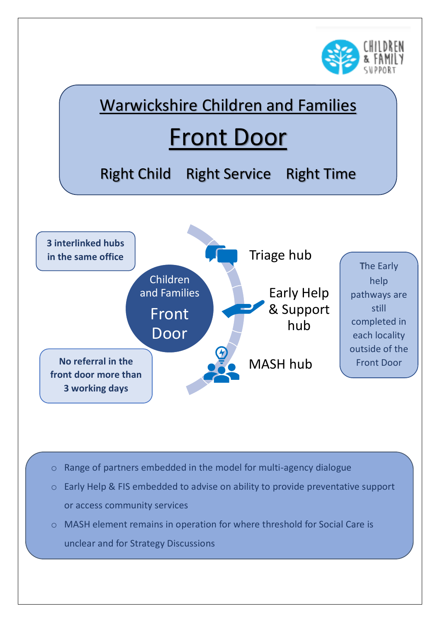



- o Range of partners embedded in the model for multi-agency dialogue
- o Early Help & FIS embedded to advise on ability to provide preventative support or access community services
- o MASH element remains in operation for where threshold for Social Care is unclear and for Strategy Discussions